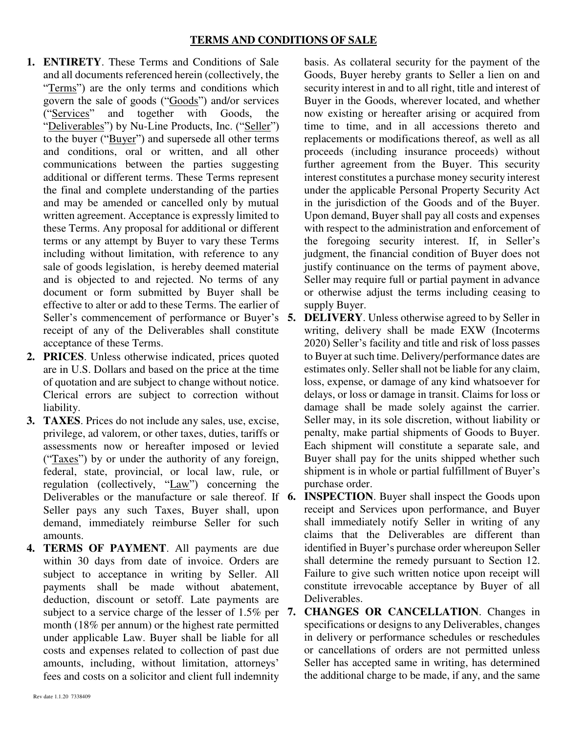- **1. ENTIRETY**. These Terms and Conditions of Sale and all documents referenced herein (collectively, the "Terms") are the only terms and conditions which govern the sale of goods ("Goods") and/or services ("Services" and together with Goods, the "Deliverables") by Nu-Line Products, Inc. ("Seller") to the buyer (" $\frac{Buyer''}{Buyer''}$ ) and supersede all other terms and conditions, oral or written, and all other communications between the parties suggesting additional or different terms. These Terms represent the final and complete understanding of the parties and may be amended or cancelled only by mutual written agreement. Acceptance is expressly limited to these Terms. Any proposal for additional or different terms or any attempt by Buyer to vary these Terms including without limitation, with reference to any sale of goods legislation, is hereby deemed material and is objected to and rejected. No terms of any document or form submitted by Buyer shall be effective to alter or add to these Terms. The earlier of Seller's commencement of performance or Buyer's 5. receipt of any of the Deliverables shall constitute acceptance of these Terms.
- **2. PRICES**. Unless otherwise indicated, prices quoted are in U.S. Dollars and based on the price at the time of quotation and are subject to change without notice. Clerical errors are subject to correction without liability.
- **3. TAXES**. Prices do not include any sales, use, excise, privilege, ad valorem, or other taxes, duties, tariffs or assessments now or hereafter imposed or levied ("Taxes") by or under the authority of any foreign, federal, state, provincial, or local law, rule, or regulation (collectively, "Law") concerning the Deliverables or the manufacture or sale thereof. If 6. Seller pays any such Taxes, Buyer shall, upon demand, immediately reimburse Seller for such amounts.
- **4. TERMS OF PAYMENT**. All payments are due within 30 days from date of invoice. Orders are subject to acceptance in writing by Seller. All payments shall be made without abatement, deduction, discount or setoff. Late payments are subject to a service charge of the lesser of 1.5% per 7. month (18% per annum) or the highest rate permitted under applicable Law. Buyer shall be liable for all costs and expenses related to collection of past due amounts, including, without limitation, attorneys' fees and costs on a solicitor and client full indemnity

basis. As collateral security for the payment of the Goods, Buyer hereby grants to Seller a lien on and security interest in and to all right, title and interest of Buyer in the Goods, wherever located, and whether now existing or hereafter arising or acquired from time to time, and in all accessions thereto and replacements or modifications thereof, as well as all proceeds (including insurance proceeds) without further agreement from the Buyer. This security interest constitutes a purchase money security interest under the applicable Personal Property Security Act in the jurisdiction of the Goods and of the Buyer. Upon demand, Buyer shall pay all costs and expenses with respect to the administration and enforcement of the foregoing security interest. If, in Seller's judgment, the financial condition of Buyer does not justify continuance on the terms of payment above, Seller may require full or partial payment in advance or otherwise adjust the terms including ceasing to supply Buyer.

- **5. DELIVERY**. Unless otherwise agreed to by Seller in writing, delivery shall be made EXW (Incoterms 2020) Seller's facility and title and risk of loss passes to Buyer at such time. Delivery/performance dates are estimates only. Seller shall not be liable for any claim, loss, expense, or damage of any kind whatsoever for delays, or loss or damage in transit. Claims for loss or damage shall be made solely against the carrier. Seller may, in its sole discretion, without liability or penalty, make partial shipments of Goods to Buyer. Each shipment will constitute a separate sale, and Buyer shall pay for the units shipped whether such shipment is in whole or partial fulfillment of Buyer's purchase order.
- **INSPECTION**. Buyer shall inspect the Goods upon receipt and Services upon performance, and Buyer shall immediately notify Seller in writing of any claims that the Deliverables are different than identified in Buyer's purchase order whereupon Seller shall determine the remedy pursuant to Section 12. Failure to give such written notice upon receipt will constitute irrevocable acceptance by Buyer of all Deliverables.
- **7. CHANGES OR CANCELLATION**. Changes in specifications or designs to any Deliverables, changes in delivery or performance schedules or reschedules or cancellations of orders are not permitted unless Seller has accepted same in writing, has determined the additional charge to be made, if any, and the same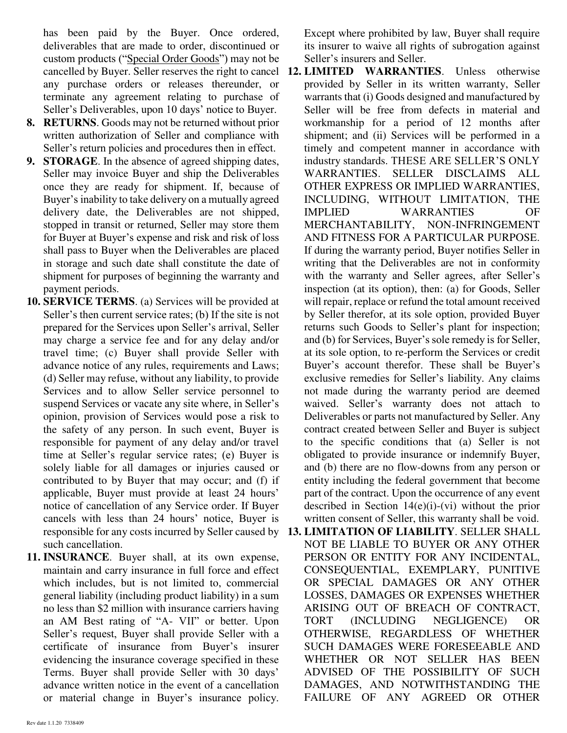has been paid by the Buyer. Once ordered, deliverables that are made to order, discontinued or custom products ("Special Order Goods") may not be any purchase orders or releases thereunder, or terminate any agreement relating to purchase of Seller's Deliverables, upon 10 days' notice to Buyer.

- **8. RETURNS**. Goods may not be returned without prior written authorization of Seller and compliance with Seller's return policies and procedures then in effect.
- **9. STORAGE**. In the absence of agreed shipping dates, Seller may invoice Buyer and ship the Deliverables once they are ready for shipment. If, because of Buyer's inability to take delivery on a mutually agreed delivery date, the Deliverables are not shipped, stopped in transit or returned, Seller may store them for Buyer at Buyer's expense and risk and risk of loss shall pass to Buyer when the Deliverables are placed in storage and such date shall constitute the date of shipment for purposes of beginning the warranty and payment periods.
- **10. SERVICE TERMS**. (a) Services will be provided at Seller's then current service rates; (b) If the site is not prepared for the Services upon Seller's arrival, Seller may charge a service fee and for any delay and/or travel time; (c) Buyer shall provide Seller with advance notice of any rules, requirements and Laws; (d) Seller may refuse, without any liability, to provide Services and to allow Seller service personnel to suspend Services or vacate any site where, in Seller's opinion, provision of Services would pose a risk to the safety of any person. In such event, Buyer is responsible for payment of any delay and/or travel time at Seller's regular service rates; (e) Buyer is solely liable for all damages or injuries caused or contributed to by Buyer that may occur; and (f) if applicable, Buyer must provide at least 24 hours' notice of cancellation of any Service order. If Buyer cancels with less than 24 hours' notice, Buyer is such cancellation.
- **11. INSURANCE**. Buyer shall, at its own expense, maintain and carry insurance in full force and effect which includes, but is not limited to, commercial general liability (including product liability) in a sum no less than \$2 million with insurance carriers having an AM Best rating of "A- VII" or better. Upon Seller's request, Buyer shall provide Seller with a certificate of insurance from Buyer's insurer evidencing the insurance coverage specified in these Terms. Buyer shall provide Seller with 30 days' advance written notice in the event of a cancellation or material change in Buyer's insurance policy.

Except where prohibited by law, Buyer shall require its insurer to waive all rights of subrogation against Seller's insurers and Seller.

- cancelled by Buyer. Seller reserves the right to cancel **12. LIMITED WARRANTIES**. Unless otherwise provided by Seller in its written warranty, Seller warrants that (i) Goods designed and manufactured by Seller will be free from defects in material and workmanship for a period of 12 months after shipment; and (ii) Services will be performed in a timely and competent manner in accordance with industry standards. THESE ARE SELLER'S ONLY WARRANTIES. SELLER DISCLAIMS ALL OTHER EXPRESS OR IMPLIED WARRANTIES, INCLUDING, WITHOUT LIMITATION, THE IMPLIED WARRANTIES OF MERCHANTABILITY, NON-INFRINGEMENT AND FITNESS FOR A PARTICULAR PURPOSE. If during the warranty period, Buyer notifies Seller in writing that the Deliverables are not in conformity with the warranty and Seller agrees, after Seller's inspection (at its option), then: (a) for Goods, Seller will repair, replace or refund the total amount received by Seller therefor, at its sole option, provided Buyer returns such Goods to Seller's plant for inspection; and (b) for Services, Buyer's sole remedy is for Seller, at its sole option, to re-perform the Services or credit Buyer's account therefor. These shall be Buyer's exclusive remedies for Seller's liability. Any claims not made during the warranty period are deemed waived. Seller's warranty does not attach to Deliverables or parts not manufactured by Seller. Any contract created between Seller and Buyer is subject to the specific conditions that (a) Seller is not obligated to provide insurance or indemnify Buyer, and (b) there are no flow-downs from any person or entity including the federal government that become part of the contract. Upon the occurrence of any event described in Section  $14(e)(i)$ -(vi) without the prior written consent of Seller, this warranty shall be void.
- responsible for any costs incurred by Seller caused by **13. LIMITATION OF LIABILITY**. SELLER SHALL NOT BE LIABLE TO BUYER OR ANY OTHER PERSON OR ENTITY FOR ANY INCIDENTAL, CONSEQUENTIAL, EXEMPLARY, PUNITIVE OR SPECIAL DAMAGES OR ANY OTHER LOSSES, DAMAGES OR EXPENSES WHETHER ARISING OUT OF BREACH OF CONTRACT, TORT (INCLUDING NEGLIGENCE) OR OTHERWISE, REGARDLESS OF WHETHER SUCH DAMAGES WERE FORESEEABLE AND WHETHER OR NOT SELLER HAS BEEN ADVISED OF THE POSSIBILITY OF SUCH DAMAGES, AND NOTWITHSTANDING THE FAILURE OF ANY AGREED OR OTHER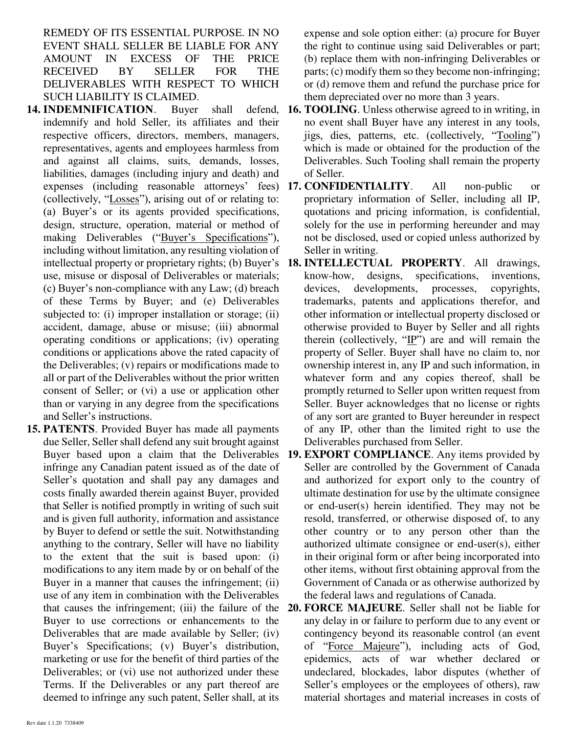REMEDY OF ITS ESSENTIAL PURPOSE. IN NO EVENT SHALL SELLER BE LIABLE FOR ANY AMOUNT IN EXCESS OF THE PRICE RECEIVED BY SELLER FOR THE DELIVERABLES WITH RESPECT TO WHICH SUCH LIABILITY IS CLAIMED.

- **14. INDEMNIFICATION**. Buyer shall defend, indemnify and hold Seller, its affiliates and their respective officers, directors, members, managers, representatives, agents and employees harmless from and against all claims, suits, demands, losses, liabilities, damages (including injury and death) and (collectively, "Losses"), arising out of or relating to: (a) Buyer's or its agents provided specifications, design, structure, operation, material or method of making Deliverables ("Buyer's Specifications"), including without limitation, any resulting violation of intellectual property or proprietary rights; (b) Buyer's use, misuse or disposal of Deliverables or materials; (c) Buyer's non-compliance with any Law; (d) breach of these Terms by Buyer; and (e) Deliverables subjected to: (i) improper installation or storage; (ii) accident, damage, abuse or misuse; (iii) abnormal operating conditions or applications; (iv) operating conditions or applications above the rated capacity of the Deliverables; (v) repairs or modifications made to all or part of the Deliverables without the prior written consent of Seller; or (vi) a use or application other than or varying in any degree from the specifications and Seller's instructions.
- **15. PATENTS**. Provided Buyer has made all payments due Seller, Seller shall defend any suit brought against infringe any Canadian patent issued as of the date of Seller's quotation and shall pay any damages and costs finally awarded therein against Buyer, provided that Seller is notified promptly in writing of such suit and is given full authority, information and assistance by Buyer to defend or settle the suit. Notwithstanding anything to the contrary, Seller will have no liability to the extent that the suit is based upon: (i) modifications to any item made by or on behalf of the Buyer in a manner that causes the infringement; (ii) use of any item in combination with the Deliverables that causes the infringement; (iii) the failure of the Buyer to use corrections or enhancements to the Deliverables that are made available by Seller; (iv) Buyer's Specifications; (v) Buyer's distribution, marketing or use for the benefit of third parties of the Deliverables; or (vi) use not authorized under these Terms. If the Deliverables or any part thereof are deemed to infringe any such patent, Seller shall, at its

expense and sole option either: (a) procure for Buyer the right to continue using said Deliverables or part; (b) replace them with non-infringing Deliverables or parts; (c) modify them so they become non-infringing; or (d) remove them and refund the purchase price for them depreciated over no more than 3 years.

- **16. TOOLING**. Unless otherwise agreed to in writing, in no event shall Buyer have any interest in any tools, jigs, dies, patterns, etc. (collectively, "Tooling") which is made or obtained for the production of the Deliverables. Such Tooling shall remain the property of Seller.
- expenses (including reasonable attorneys' fees) **17. CONFIDENTIALITY**. All non-public or proprietary information of Seller, including all IP, quotations and pricing information, is confidential, solely for the use in performing hereunder and may not be disclosed, used or copied unless authorized by Seller in writing.
	- **18. INTELLECTUAL PROPERTY**. All drawings, know-how, designs, specifications, inventions, devices, developments, processes, copyrights, trademarks, patents and applications therefor, and other information or intellectual property disclosed or otherwise provided to Buyer by Seller and all rights therein (collectively, " $\underline{IP}$ ") are and will remain the property of Seller. Buyer shall have no claim to, nor ownership interest in, any IP and such information, in whatever form and any copies thereof, shall be promptly returned to Seller upon written request from Seller. Buyer acknowledges that no license or rights of any sort are granted to Buyer hereunder in respect of any IP, other than the limited right to use the Deliverables purchased from Seller.
- Buyer based upon a claim that the Deliverables **19. EXPORT COMPLIANCE**. Any items provided by Seller are controlled by the Government of Canada and authorized for export only to the country of ultimate destination for use by the ultimate consignee or end-user(s) herein identified. They may not be resold, transferred, or otherwise disposed of, to any other country or to any person other than the authorized ultimate consignee or end-user(s), either in their original form or after being incorporated into other items, without first obtaining approval from the Government of Canada or as otherwise authorized by the federal laws and regulations of Canada.
	- **20. FORCE MAJEURE**. Seller shall not be liable for any delay in or failure to perform due to any event or contingency beyond its reasonable control (an event of "Force Majeure"), including acts of God, epidemics, acts of war whether declared or undeclared, blockades, labor disputes (whether of Seller's employees or the employees of others), raw material shortages and material increases in costs of